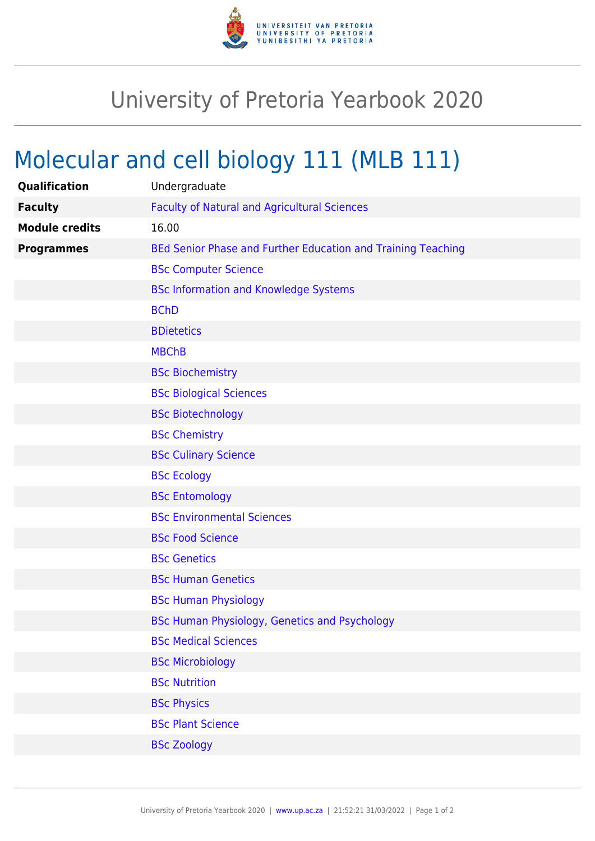

## University of Pretoria Yearbook 2020

## Molecular and cell biology 111 (MLB 111)

| Qualification         | Undergraduate                                                |
|-----------------------|--------------------------------------------------------------|
| <b>Faculty</b>        | <b>Faculty of Natural and Agricultural Sciences</b>          |
| <b>Module credits</b> | 16.00                                                        |
| <b>Programmes</b>     | BEd Senior Phase and Further Education and Training Teaching |
|                       | <b>BSc Computer Science</b>                                  |
|                       | <b>BSc Information and Knowledge Systems</b>                 |
|                       | <b>BChD</b>                                                  |
|                       | <b>BDietetics</b>                                            |
|                       | <b>MBChB</b>                                                 |
|                       | <b>BSc Biochemistry</b>                                      |
|                       | <b>BSc Biological Sciences</b>                               |
|                       | <b>BSc Biotechnology</b>                                     |
|                       | <b>BSc Chemistry</b>                                         |
|                       | <b>BSc Culinary Science</b>                                  |
|                       | <b>BSc Ecology</b>                                           |
|                       | <b>BSc Entomology</b>                                        |
|                       | <b>BSc Environmental Sciences</b>                            |
|                       | <b>BSc Food Science</b>                                      |
|                       | <b>BSc Genetics</b>                                          |
|                       | <b>BSc Human Genetics</b>                                    |
|                       | <b>BSc Human Physiology</b>                                  |
|                       | BSc Human Physiology, Genetics and Psychology                |
|                       | <b>BSc Medical Sciences</b>                                  |
|                       | <b>BSc Microbiology</b>                                      |
|                       | <b>BSc Nutrition</b>                                         |
|                       | <b>BSc Physics</b>                                           |
|                       | <b>BSc Plant Science</b>                                     |
|                       | <b>BSc Zoology</b>                                           |
|                       |                                                              |